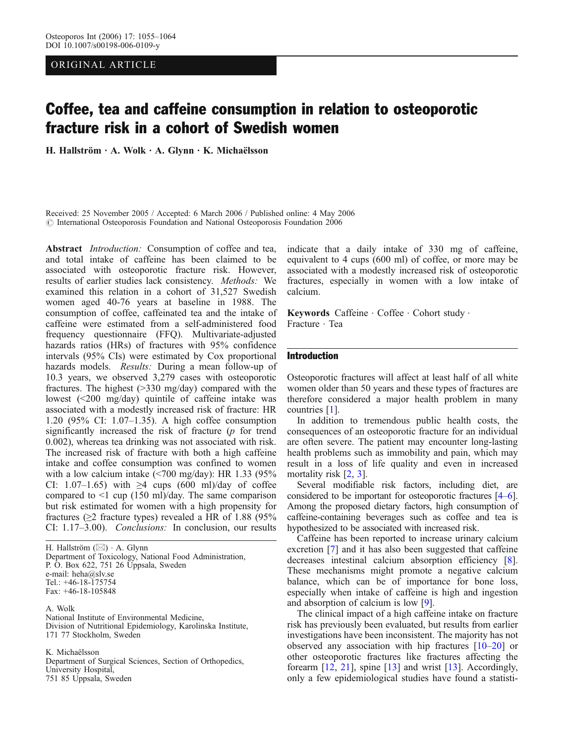# ORIGINAL ARTICLE

# Coffee, tea and caffeine consumption in relation to osteoporotic fracture risk in a cohort of Swedish women

H. Hallström · A. Wolk · A. Glynn · K. Michaëlsson

Received: 25 November 2005 / Accepted: 6 March 2006 / Published online: 4 May 2006  $\odot$  International Osteoporosis Foundation and National Osteoporosis Foundation 2006

Abstract *Introduction*: Consumption of coffee and tea, and total intake of caffeine has been claimed to be associated with osteoporotic fracture risk. However, results of earlier studies lack consistency. Methods: We examined this relation in a cohort of 31,527 Swedish women aged 40-76 years at baseline in 1988. The consumption of coffee, caffeinated tea and the intake of caffeine were estimated from a self-administered food frequency questionnaire (FFQ). Multivariate-adjusted hazards ratios (HRs) of fractures with 95% confidence intervals (95% CIs) were estimated by Cox proportional hazards models. Results: During a mean follow-up of 10.3 years, we observed 3,279 cases with osteoporotic fractures. The highest (>330 mg/day) compared with the lowest (<200 mg/day) quintile of caffeine intake was associated with a modestly increased risk of fracture: HR 1.20 (95% CI: 1.07–1.35). A high coffee consumption significantly increased the risk of fracture (p for trend 0.002), whereas tea drinking was not associated with risk. The increased risk of fracture with both a high caffeine intake and coffee consumption was confined to women with a low calcium intake (<700 mg/day): HR 1.33 (95% CI: 1.07–1.65) with  $\geq$ 4 cups (600 ml)/day of coffee compared to  $\leq 1$  cup (150 ml)/day. The same comparison but risk estimated for women with a high propensity for fractures ( $\geq$ 2 fracture types) revealed a HR of 1.88 (95% CI: 1.17–3.00). Conclusions: In conclusion, our results

H. Hallström (*\**) . A. Glynn Department of Toxicology, National Food Administration, P. O. Box 622, 751 26 Uppsala, Sweden e-mail: heha@slv.se Tel.: +46-18-175754 Fax: +46-18-105848

A. Wolk National Institute of Environmental Medicine, Division of Nutritional Epidemiology, Karolinska Institute, 171 77 Stockholm, Sweden

K. Michaëlsson

Department of Surgical Sciences, Section of Orthopedics, University Hospital, 751 85 Uppsala, Sweden

indicate that a daily intake of 330 mg of caffeine, equivalent to 4 cups (600 ml) of coffee, or more may be associated with a modestly increased risk of osteoporotic fractures, especially in women with a low intake of calcium.

Keywords Caffeine · Coffee · Cohort study · Fracture . Tea

# Introduction

Osteoporotic fractures will affect at least half of all white women older than 50 years and these types of fractures are therefore considered a major health problem in many countries [[1\]](#page-7-0).

In addition to tremendous public health costs, the consequences of an osteoporotic fracture for an individual are often severe. The patient may encounter long-lasting health problems such as immobility and pain, which may result in a loss of life quality and even in increased mortality risk [\[2](#page-7-0), [3](#page-7-0)].

Several modifiable risk factors, including diet, are considered to be important for osteoporotic fractures [\[4](#page-7-0)–[6](#page-7-0)]. Among the proposed dietary factors, high consumption of caffeine-containing beverages such as coffee and tea is hypothesized to be associated with increased risk.

Caffeine has been reported to increase urinary calcium excretion [[7](#page-8-0)] and it has also been suggested that caffeine decreases intestinal calcium absorption efficiency [[8](#page-8-0)]. These mechanisms might promote a negative calcium balance, which can be of importance for bone loss, especially when intake of caffeine is high and ingestion and absorption of calcium is low [\[9](#page-8-0)].

The clinical impact of a high caffeine intake on fracture risk has previously been evaluated, but results from earlier investigations have been inconsistent. The majority has not observed any association with hip fractures  $[10-20]$  $[10-20]$  $[10-20]$  $[10-20]$  or other osteoporotic fractures like fractures affecting the forearm [\[12](#page-8-0), [21](#page-8-0)], spine [\[13](#page-8-0)] and wrist [\[13\]](#page-8-0). Accordingly, only a few epidemiological studies have found a statisti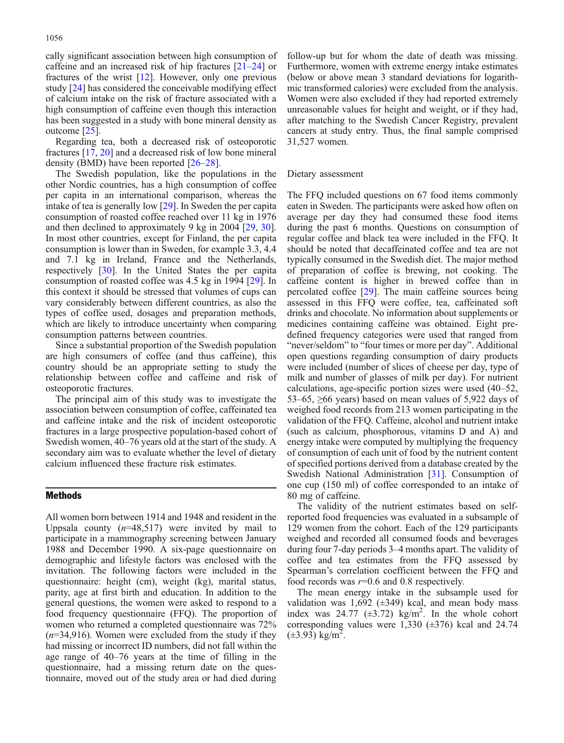cally significant association between high consumption of caffeine and an increased risk of hip fractures [\[21](#page-8-0)–[24](#page-8-0)] or fractures of the wrist [[12](#page-8-0)]. However, only one previous study [[24\]](#page-8-0) has considered the conceivable modifying effect of calcium intake on the risk of fracture associated with a high consumption of caffeine even though this interaction has been suggested in a study with bone mineral density as outcome [\[25\]](#page-8-0).

Regarding tea, both a decreased risk of osteoporotic fractures [\[17,](#page-8-0) [20](#page-8-0)] and a decreased risk of low bone mineral density (BMD) have been reported [\[26](#page-8-0)–[28\]](#page-8-0).

The Swedish population, like the populations in the other Nordic countries, has a high consumption of coffee per capita in an international comparison, whereas the intake of tea is generally low [\[29\]](#page-8-0). In Sweden the per capita consumption of roasted coffee reached over 11 kg in 1976 and then declined to approximately 9 kg in 2004 [\[29,](#page-8-0) [30\]](#page-8-0). In most other countries, except for Finland, the per capita consumption is lower than in Sweden, for example 3.3, 4.4 and 7.1 kg in Ireland, France and the Netherlands, respectively [[30](#page-8-0)]. In the United States the per capita consumption of roasted coffee was 4.5 kg in 1994 [[29](#page-8-0)]. In this context it should be stressed that volumes of cups can vary considerably between different countries, as also the types of coffee used, dosages and preparation methods, which are likely to introduce uncertainty when comparing consumption patterns between countries.

Since a substantial proportion of the Swedish population are high consumers of coffee (and thus caffeine), this country should be an appropriate setting to study the relationship between coffee and caffeine and risk of osteoporotic fractures.

The principal aim of this study was to investigate the association between consumption of coffee, caffeinated tea and caffeine intake and the risk of incident osteoporotic fractures in a large prospective population-based cohort of Swedish women, 40–76 years old at the start of the study. A secondary aim was to evaluate whether the level of dietary calcium influenced these fracture risk estimates.

## Methods

All women born between 1914 and 1948 and resident in the Uppsala county  $(n=48,517)$  were invited by mail to participate in a mammography screening between January 1988 and December 1990. A six-page questionnaire on demographic and lifestyle factors was enclosed with the invitation. The following factors were included in the questionnaire: height (cm), weight (kg), marital status, parity, age at first birth and education. In addition to the general questions, the women were asked to respond to a food frequency questionnaire (FFQ). The proportion of women who returned a completed questionnaire was 72%  $(n=34,916)$ . Women were excluded from the study if they had missing or incorrect ID numbers, did not fall within the age range of 40–76 years at the time of filling in the questionnaire, had a missing return date on the questionnaire, moved out of the study area or had died during

follow-up but for whom the date of death was missing. Furthermore, women with extreme energy intake estimates (below or above mean 3 standard deviations for logarithmic transformed calories) were excluded from the analysis. Women were also excluded if they had reported extremely unreasonable values for height and weight, or if they had, after matching to the Swedish Cancer Registry, prevalent cancers at study entry. Thus, the final sample comprised 31,527 women.

## Dietary assessment

The FFQ included questions on 67 food items commonly eaten in Sweden. The participants were asked how often on average per day they had consumed these food items during the past 6 months. Questions on consumption of regular coffee and black tea were included in the FFQ. It should be noted that decaffeinated coffee and tea are not typically consumed in the Swedish diet. The major method of preparation of coffee is brewing, not cooking. The caffeine content is higher in brewed coffee than in percolated coffee [\[29\]](#page-8-0). The main caffeine sources being assessed in this FFQ were coffee, tea, caffeinated soft drinks and chocolate. No information about supplements or medicines containing caffeine was obtained. Eight predefined frequency categories were used that ranged from "never/seldom" to "four times or more per day". Additional open questions regarding consumption of dairy products were included (number of slices of cheese per day, type of milk and number of glasses of milk per day). For nutrient calculations, age-specific portion sizes were used (40–52, 53–65,  $\geq$ 66 years) based on mean values of 5,922 days of weighed food records from 213 women participating in the validation of the FFQ. Caffeine, alcohol and nutrient intake (such as calcium, phosphorous, vitamins D and A) and energy intake were computed by multiplying the frequency of consumption of each unit of food by the nutrient content of specified portions derived from a database created by the Swedish National Administration [[31](#page-8-0)]. Consumption of one cup (150 ml) of coffee corresponded to an intake of 80 mg of caffeine.

The validity of the nutrient estimates based on selfreported food frequencies was evaluated in a subsample of 129 women from the cohort. Each of the 129 participants weighed and recorded all consumed foods and beverages during four 7-day periods 3–4 months apart. The validity of coffee and tea estimates from the FFQ assessed by Spearman's correlation coefficient between the FFQ and food records was  $r=0.6$  and 0.8 respectively.

The mean energy intake in the subsample used for validation was  $1,692 \ (\pm 349)$  kcal, and mean body mass index was  $24.77 \ (\pm 3.72) \ \text{kg/m}^2$ . In the whole cohort corresponding values were 1,330 (±376) kcal and 24.74  $(\pm 3.93)$  kg/m<sup>2</sup>.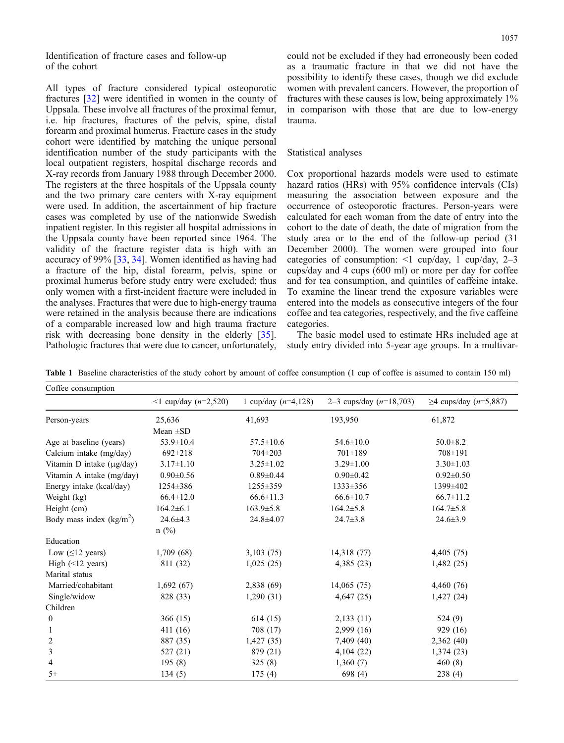<span id="page-2-0"></span>Identification of fracture cases and follow-up of the cohort

All types of fracture considered typical osteoporotic fractures [\[32\]](#page-8-0) were identified in women in the county of Uppsala. These involve all fractures of the proximal femur, i.e. hip fractures, fractures of the pelvis, spine, distal forearm and proximal humerus. Fracture cases in the study cohort were identified by matching the unique personal identification number of the study participants with the local outpatient registers, hospital discharge records and X-ray records from January 1988 through December 2000. The registers at the three hospitals of the Uppsala county and the two primary care centers with X-ray equipment were used. In addition, the ascertainment of hip fracture cases was completed by use of the nationwide Swedish inpatient register. In this register all hospital admissions in the Uppsala county have been reported since 1964. The validity of the fracture register data is high with an accuracy of 99% [[33](#page-8-0), [34\]](#page-8-0). Women identified as having had a fracture of the hip, distal forearm, pelvis, spine or proximal humerus before study entry were excluded; thus only women with a first-incident fracture were included in the analyses. Fractures that were due to high-energy trauma were retained in the analysis because there are indications of a comparable increased low and high trauma fracture risk with decreasing bone density in the elderly [[35\]](#page-8-0). Pathologic fractures that were due to cancer, unfortunately, could not be excluded if they had erroneously been coded as a traumatic fracture in that we did not have the possibility to identify these cases, though we did exclude women with prevalent cancers. However, the proportion of fractures with these causes is low, being approximately 1% in comparison with those that are due to low-energy trauma.

## Statistical analyses

Cox proportional hazards models were used to estimate hazard ratios (HRs) with 95% confidence intervals (CIs) measuring the association between exposure and the occurrence of osteoporotic fractures. Person-years were calculated for each woman from the date of entry into the cohort to the date of death, the date of migration from the study area or to the end of the follow-up period (31 December 2000). The women were grouped into four categories of consumption:  $\leq 1$  cup/day, 1 cup/day, 2–3 cups/day and 4 cups (600 ml) or more per day for coffee and for tea consumption, and quintiles of caffeine intake. To examine the linear trend the exposure variables were entered into the models as consecutive integers of the four coffee and tea categories, respectively, and the five caffeine categories.

The basic model used to estimate HRs included age at study entry divided into 5-year age groups. In a multivar-

Table 1 Baseline characteristics of the study cohort by amount of coffee consumption (1 cup of coffee is assumed to contain 150 ml)

| Coffee consumption        |                                     |                       |                           |                                  |
|---------------------------|-------------------------------------|-----------------------|---------------------------|----------------------------------|
|                           | $\leq 1$ cup/day ( <i>n</i> =2,520) | 1 cup/day $(n=4,128)$ | 2–3 cups/day $(n=18,703)$ | $≥4$ cups/day ( <i>n</i> =5,887) |
| Person-years              | 25,636                              | 41,693                | 193,950                   | 61,872                           |
|                           | Mean $\pm SD$                       |                       |                           |                                  |
| Age at baseline (years)   | 53.9±10.4                           | $57.5 \pm 10.6$       | $54.6 \pm 10.0$           | $50.0 \pm 8.2$                   |
| Calcium intake (mg/day)   | $692 \pm 218$                       | $704 \pm 203$         | $701 \pm 189$             | 708±191                          |
| Vitamin D intake (µg/day) | $3.17 \pm 1.10$                     | $3.25 \pm 1.02$       | $3.29 \pm 1.00$           | $3.30 \pm 1.03$                  |
| Vitamin A intake (mg/day) | $0.90 \pm 0.56$                     | $0.89 \pm 0.44$       | $0.90 \pm 0.42$           | $0.92 \pm 0.50$                  |
| Energy intake (kcal/day)  | 1254±386                            | 1255±359              | 1333±356                  | 1399±402                         |
| Weight (kg)               | $66.4 \pm 12.0$                     | $66.6 \pm 11.3$       | $66.6 \pm 10.7$           | $66.7 \pm 11.2$                  |
| Height (cm)               | $164.2\pm 6.1$                      | $163.9 \pm 5.8$       | $164.2 \pm 5.8$           | $164.7 \pm 5.8$                  |
| Body mass index $(kg/m2)$ | $24.6 \pm 4.3$                      | 24.8±4.07             | $24.7 \pm 3.8$            | $24.6 \pm 3.9$                   |
|                           | $n$ (%)                             |                       |                           |                                  |
| Education                 |                                     |                       |                           |                                  |
| Low $(≤12 \text{ years})$ | 1,709 (68)                          | 3,103(75)             | 14,318 (77)               | 4,405(75)                        |
| High $(\leq 12$ years)    | 811 (32)                            | 1,025(25)             | 4,385 (23)                | 1,482(25)                        |
| Marital status            |                                     |                       |                           |                                  |
| Married/cohabitant        | 1,692(67)                           | 2,838(69)             | 14,065(75)                | 4,460 (76)                       |
| Single/widow              | 828 (33)                            | 1,290(31)             | 4,647(25)                 | 1,427(24)                        |
| Children                  |                                     |                       |                           |                                  |
| $\boldsymbol{0}$          | 366(15)                             | 614(15)               | 2,133(11)                 | 524 (9)                          |
| 1                         | 411(16)                             | 708 (17)              | 2,999(16)                 | 929 (16)                         |
| 2                         | 887 (35)                            | 1,427(35)             | 7,409(40)                 | 2,362 (40)                       |
| 3                         | 527 (21)                            | 879 (21)              | 4,104(22)                 | 1,374(23)                        |
| 4                         | 195(8)                              | 325(8)                | 1,360(7)                  | 460(8)                           |
| $5+$                      | 134(5)                              | 175(4)                | 698 (4)                   | 238(4)                           |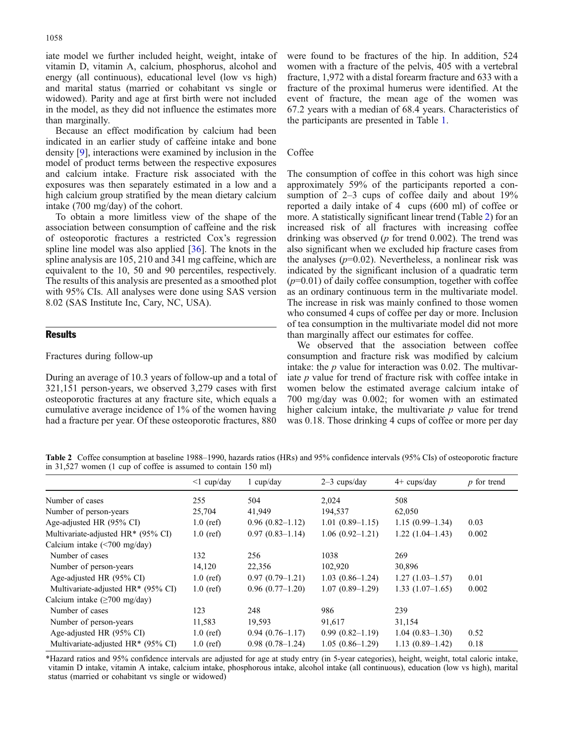iate model we further included height, weight, intake of vitamin D, vitamin A, calcium, phosphorus, alcohol and energy (all continuous), educational level (low vs high) and marital status (married or cohabitant vs single or widowed). Parity and age at first birth were not included in the model, as they did not influence the estimates more than marginally.

Because an effect modification by calcium had been indicated in an earlier study of caffeine intake and bone density [\[9](#page-8-0)], interactions were examined by inclusion in the model of product terms between the respective exposures and calcium intake. Fracture risk associated with the exposures was then separately estimated in a low and a high calcium group stratified by the mean dietary calcium intake (700 mg/day) of the cohort.

To obtain a more limitless view of the shape of the association between consumption of caffeine and the risk of osteoporotic fractures a restricted Cox's regression spline line model was also applied [\[36\]](#page-8-0). The knots in the spline analysis are 105, 210 and 341 mg caffeine, which are equivalent to the 10, 50 and 90 percentiles, respectively. The results of this analysis are presented as a smoothed plot with 95% CIs. All analyses were done using SAS version 8.02 (SAS Institute Inc, Cary, NC, USA).

# **Results**

#### Fractures during follow-up

During an average of 10.3 years of follow-up and a total of 321,151 person-years, we observed 3,279 cases with first osteoporotic fractures at any fracture site, which equals a cumulative average incidence of 1% of the women having had a fracture per year. Of these osteoporotic fractures, 880 were found to be fractures of the hip. In addition, 524 women with a fracture of the pelvis, 405 with a vertebral fracture, 1,972 with a distal forearm fracture and 633 with a fracture of the proximal humerus were identified. At the event of fracture, the mean age of the women was 67.2 years with a median of 68.4 years. Characteristics of the participants are presented in Table [1](#page-2-0).

## **Coffee**

The consumption of coffee in this cohort was high since approximately 59% of the participants reported a consumption of 2–3 cups of coffee daily and about 19% reported a daily intake of 4 cups (600 ml) of coffee or more. A statistically significant linear trend (Table 2) for an increased risk of all fractures with increasing coffee drinking was observed ( $p$  for trend 0.002). The trend was also significant when we excluded hip fracture cases from the analyses  $(p=0.02)$ . Nevertheless, a nonlinear risk was indicated by the significant inclusion of a quadratic term  $(p=0.01)$  of daily coffee consumption, together with coffee as an ordinary continuous term in the multivariate model. The increase in risk was mainly confined to those women who consumed 4 cups of coffee per day or more. Inclusion of tea consumption in the multivariate model did not more than marginally affect our estimates for coffee.

We observed that the association between coffee consumption and fracture risk was modified by calcium intake: the  $p$  value for interaction was 0.02. The multivariate p value for trend of fracture risk with coffee intake in women below the estimated average calcium intake of 700 mg/day was 0.002; for women with an estimated higher calcium intake, the multivariate  $p$  value for trend was 0.18. Those drinking 4 cups of coffee or more per day

Table 2 Coffee consumption at baseline 1988–1990, hazards ratios (HRs) and 95% confidence intervals (95% CIs) of osteoporotic fracture in 31,527 women (1 cup of coffee is assumed to contain 150 ml)

|                                            | $\leq 1$ cup/day | 1 $cup/day$         | $2-3$ cups/day      | $4+$ cups/day     | $p$ for trend |
|--------------------------------------------|------------------|---------------------|---------------------|-------------------|---------------|
| Number of cases                            | 255              | 504                 | 2,024               | 508               |               |
| Number of person-years                     | 25,704           | 41,949              | 194,537             | 62,050            |               |
| Age-adjusted HR (95% CI)                   | $1.0$ (ref)      | $0.96(0.82 - 1.12)$ | $1.01(0.89-1.15)$   | $1.15(0.99-1.34)$ | 0.03          |
| Multivariate-adjusted HR* (95% CI)         | $1.0$ (ref)      | $0.97(0.83 - 1.14)$ | $1.06(0.92 - 1.21)$ | $1.22(1.04-1.43)$ | 0.002         |
| Calcium intake $(\leq 700 \text{ mg/day})$ |                  |                     |                     |                   |               |
| Number of cases                            | 132              | 256                 | 1038                | 269               |               |
| Number of person-years                     | 14,120           | 22,356              | 102,920             | 30,896            |               |
| Age-adjusted HR (95% CI)                   | $1.0$ (ref)      | $0.97(0.79-1.21)$   | $1.03(0.86-1.24)$   | $1.27(1.03-1.57)$ | 0.01          |
| Multivariate-adjusted HR* (95% CI)         | $1.0$ (ref)      | $0.96(0.77-1.20)$   | $1.07(0.89-1.29)$   | $1.33(1.07-1.65)$ | 0.002         |
| Calcium intake $(\geq 700 \text{ mg/day})$ |                  |                     |                     |                   |               |
| Number of cases                            | 123              | 248                 | 986                 | 239               |               |
| Number of person-years                     | 11,583           | 19,593              | 91,617              | 31,154            |               |
| Age-adjusted HR (95% CI)                   | $1.0$ (ref)      | $0.94(0.76-1.17)$   | $0.99(0.82 - 1.19)$ | $1.04(0.83-1.30)$ | 0.52          |
| Multivariate-adjusted HR* (95% CI)         | $1.0$ (ref)      | $0.98(0.78-1.24)$   | $1.05(0.86-1.29)$   | $1.13(0.89-1.42)$ | 0.18          |

\*Hazard ratios and 95% confidence intervals are adjusted for age at study entry (in 5-year categories), height, weight, total caloric intake, vitamin D intake, vitamin A intake, calcium intake, phosphorous intake, alcohol intake (all continuous), education (low vs high), marital status (married or cohabitant vs single or widowed)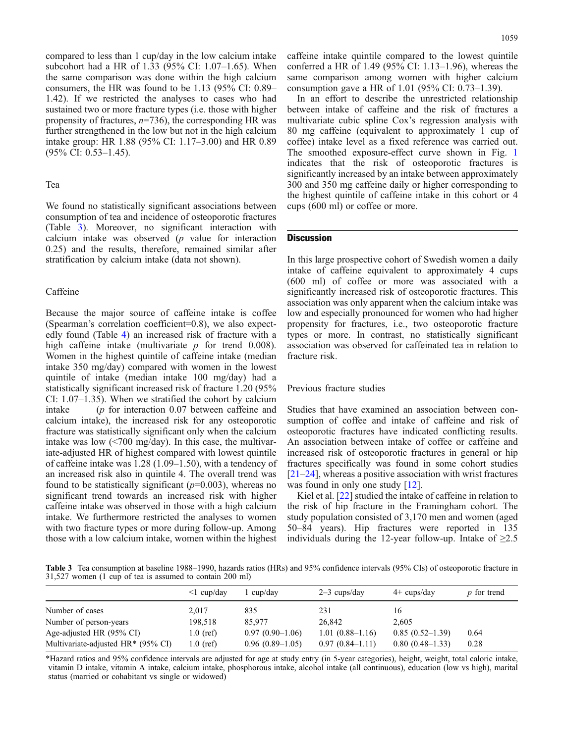compared to less than 1 cup/day in the low calcium intake subcohort had a HR of 1.33 (95% CI: 1.07–1.65). When the same comparison was done within the high calcium consumers, the HR was found to be 1.13 (95% CI: 0.89– 1.42). If we restricted the analyses to cases who had sustained two or more fracture types (i.e. those with higher propensity of fractures,  $n=736$ ), the corresponding HR was further strengthened in the low but not in the high calcium intake group: HR 1.88 (95% CI: 1.17–3.00) and HR 0.89 (95% CI: 0.53–1.45).

#### Tea

We found no statistically significant associations between consumption of tea and incidence of osteoporotic fractures (Table 3). Moreover, no significant interaction with calcium intake was observed  $(p$  value for interaction 0.25) and the results, therefore, remained similar after stratification by calcium intake (data not shown).

# Caffeine

Because the major source of caffeine intake is coffee (Spearman's correlation coefficient=0.8), we also expectedly found (Table [4\)](#page-5-0) an increased risk of fracture with a high caffeine intake (multivariate  $p$  for trend 0.008). Women in the highest quintile of caffeine intake (median intake 350 mg/day) compared with women in the lowest quintile of intake (median intake 100 mg/day) had a statistically significant increased risk of fracture 1.20 (95% CI: 1.07–1.35). When we stratified the cohort by calcium intake (p for interaction 0.07 between caffeine and calcium intake), the increased risk for any osteoporotic fracture was statistically significant only when the calcium intake was low (<700 mg/day). In this case, the multivariate-adjusted HR of highest compared with lowest quintile of caffeine intake was 1.28 (1.09–1.50), with a tendency of an increased risk also in quintile 4. The overall trend was found to be statistically significant  $(p=0.003)$ , whereas no significant trend towards an increased risk with higher caffeine intake was observed in those with a high calcium intake. We furthermore restricted the analyses to women with two fracture types or more during follow-up. Among those with a low calcium intake, women within the highest caffeine intake quintile compared to the lowest quintile conferred a HR of 1.49 (95% CI: 1.13–1.96), whereas the same comparison among women with higher calcium consumption gave a HR of 1.01 (95% CI: 0.73–1.39).

In an effort to describe the unrestricted relationship between intake of caffeine and the risk of fractures a multivariate cubic spline Cox's regression analysis with 80 mg caffeine (equivalent to approximately 1 cup of coffee) intake level as a fixed reference was carried out. The smoothed exposure-effect curve shown in Fig. [1](#page-5-0) indicates that the risk of osteoporotic fractures is significantly increased by an intake between approximately 300 and 350 mg caffeine daily or higher corresponding to the highest quintile of caffeine intake in this cohort or 4 cups (600 ml) or coffee or more.

# **Discussion**

In this large prospective cohort of Swedish women a daily intake of caffeine equivalent to approximately 4 cups (600 ml) of coffee or more was associated with a significantly increased risk of osteoporotic fractures. This association was only apparent when the calcium intake was low and especially pronounced for women who had higher propensity for fractures, i.e., two osteoporotic fracture types or more. In contrast, no statistically significant association was observed for caffeinated tea in relation to fracture risk.

#### Previous fracture studies

Studies that have examined an association between consumption of coffee and intake of caffeine and risk of osteoporotic fractures have indicated conflicting results. An association between intake of coffee or caffeine and increased risk of osteoporotic fractures in general or hip fractures specifically was found in some cohort studies [[21](#page-8-0)–[24\]](#page-8-0), whereas a positive association with wrist fractures was found in only one study [\[12\]](#page-8-0).

Kiel et al. [[22](#page-8-0)] studied the intake of caffeine in relation to the risk of hip fracture in the Framingham cohort. The study population consisted of 3,170 men and women (aged 50–84 years). Hip fractures were reported in 135 individuals during the 12-year follow-up. Intake of  $\geq 2.5$ 

Table 3 Tea consumption at baseline 1988–1990, hazards ratios (HRs) and 95% confidence intervals (95% CIs) of osteoporotic fracture in 31,527 women (1 cup of tea is assumed to contain 200 ml)

|                                                | $\leq 1$ cup/day | cup/day           | $2-3$ cups/day    | $4+$ cups/day     | $p$ for trend |
|------------------------------------------------|------------------|-------------------|-------------------|-------------------|---------------|
| Number of cases                                | 2.017            | 835               | 231               | 16                |               |
| Number of person-years                         | 198.518          | 85,977            | 26,842            | 2.605             |               |
| Age-adjusted HR (95% CI)                       | $1.0$ (ref)      | $0.97(0.90-1.06)$ | $1.01(0.88-1.16)$ | $0.85(0.52-1.39)$ | 0.64          |
| Multivariate-adjusted HR <sup>*</sup> (95% CI) | $1.0$ (ref)      | $0.96(0.89-1.05)$ | $0.97(0.84-1.11)$ | $0.80(0.48-1.33)$ | 0.28          |

\*Hazard ratios and 95% confidence intervals are adjusted for age at study entry (in 5-year categories), height, weight, total caloric intake, vitamin D intake, vitamin A intake, calcium intake, phosphorous intake, alcohol intake (all continuous), education (low vs high), marital status (married or cohabitant vs single or widowed)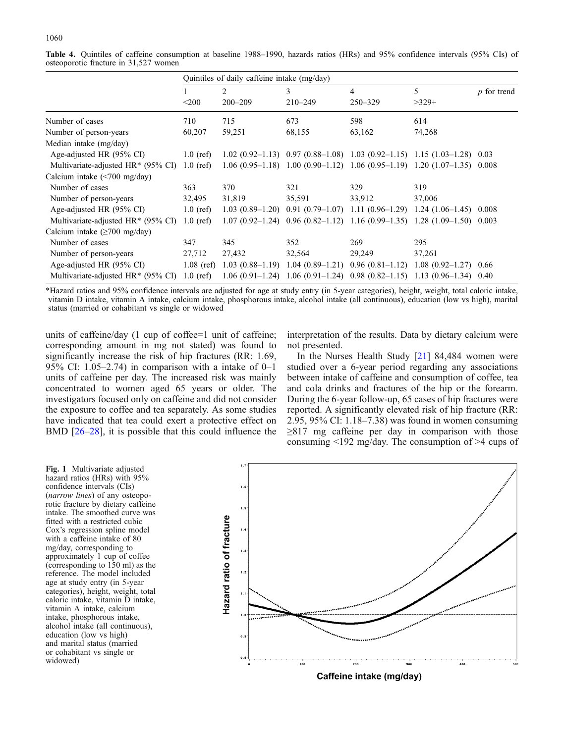|                                              | Quintiles of daily caffeine intake (mg/day) |             |                                                                                  |             |                                           |               |
|----------------------------------------------|---------------------------------------------|-------------|----------------------------------------------------------------------------------|-------------|-------------------------------------------|---------------|
|                                              |                                             | 2           | 3                                                                                | 4           | 5                                         | $p$ for trend |
|                                              | $200$                                       | $200 - 209$ | $210 - 249$                                                                      | $250 - 329$ | $>329+$                                   |               |
| Number of cases                              | 710                                         | 715         | 673                                                                              | 598         | 614                                       |               |
| Number of person-years                       | 60,207                                      | 59,251      | 68,155                                                                           | 63,162      | 74,268                                    |               |
| Median intake (mg/day)                       |                                             |             |                                                                                  |             |                                           |               |
| Age-adjusted HR (95% CI)                     | $1.0$ (ref)                                 |             | $1.02$ (0.92–1.13) 0.97 (0.88–1.08) 1.03 (0.92–1.15) 1.15 (1.03–1.28) 0.03       |             |                                           |               |
| Multivariate-adjusted $HR*(95\% \text{ CI})$ | $1.0$ (ref)                                 |             | $1.06(0.95-1.18)$ 1.00 $(0.90-1.12)$ 1.06 $(0.95-1.19)$ 1.20 $(1.07-1.35)$ 0.008 |             |                                           |               |
| Calcium intake $(\leq 700 \text{ mg/day})$   |                                             |             |                                                                                  |             |                                           |               |
| Number of cases                              | 363                                         | 370         | 321                                                                              | 329         | 319                                       |               |
| Number of person-years                       | 32,495                                      | 31,819      | 35,591                                                                           | 33,912      | 37,006                                    |               |
| Age-adjusted HR (95% CI)                     | $1.0$ (ref)                                 |             | $1.03(0.89-1.20)$ 0.91 $(0.79-1.07)$ 1.11 $(0.96-1.29)$ 1.24 $(1.06-1.45)$ 0.008 |             |                                           |               |
| Multivariate-adjusted $HR*(95\% \text{ CI})$ | $1.0$ (ref)                                 |             | $1.07(0.92-1.24)$ 0.96 $(0.82-1.12)$ 1.16 $(0.99-1.35)$ 1.28 $(1.09-1.50)$ 0.003 |             |                                           |               |
| Calcium intake $(\geq 700 \text{ mg/day})$   |                                             |             |                                                                                  |             |                                           |               |
| Number of cases                              | 347                                         | 345         | 352                                                                              | 269         | 295                                       |               |
| Number of person-years                       | 27,712                                      | 27,432      | 32,564                                                                           | 29,249      | 37,261                                    |               |
| Age-adjusted HR (95% CI)                     | $1.08$ (ref)                                |             | $1.03(0.88-1.19)$ 1.04 $(0.89-1.21)$                                             |             | $0.96(0.81-1.12)$ 1.08 $(0.92-1.27)$ 0.66 |               |
| Multivariate-adjusted HR* (95% CI)           | $1.0$ (ref)                                 |             | $1.06(0.91-1.24)$ 1.06 $(0.91-1.24)$ 0.98 $(0.82-1.15)$ 1.13 $(0.96-1.34)$ 0.40  |             |                                           |               |

<span id="page-5-0"></span>Table 4. Quintiles of caffeine consumption at baseline 1988–1990, hazards ratios (HRs) and 95% confidence intervals (95% CIs) of osteoporotic fracture in 31,527 women

\*Hazard ratios and 95% confidence intervals are adjusted for age at study entry (in 5-year categories), height, weight, total caloric intake, vitamin D intake, vitamin A intake, calcium intake, phosphorous intake, alcohol intake (all continuous), education (low vs high), marital status (married or cohabitant vs single or widowed

units of caffeine/day (1 cup of coffee=1 unit of caffeine; corresponding amount in mg not stated) was found to significantly increase the risk of hip fractures (RR: 1.69, 95% CI: 1.05–2.74) in comparison with a intake of  $0-1$ units of caffeine per day. The increased risk was mainly concentrated to women aged 65 years or older. The investigators focused only on caffeine and did not consider the exposure to coffee and tea separately. As some studies have indicated that tea could exert a protective effect on BMD [[26](#page-8-0)–[28](#page-8-0)], it is possible that this could influence the

interpretation of the results. Data by dietary calcium were not presented.

In the Nurses Health Study [[21](#page-8-0)] 84,484 women were studied over a 6-year period regarding any associations between intake of caffeine and consumption of coffee, tea and cola drinks and fractures of the hip or the forearm. During the 6-year follow-up, 65 cases of hip fractures were reported. A significantly elevated risk of hip fracture (RR: 2.95, 95% CI: 1.18–7.38) was found in women consuming  $\geq$ 817 mg caffeine per day in comparison with those consuming <192 mg/day. The consumption of >4 cups of

Fig. 1 Multivariate adjusted hazard ratios (HRs) with 95% confidence intervals (CIs) (narrow lines) of any osteoporotic fracture by dietary caffeine intake. The smoothed curve was fitted with a restricted cubic Cox's regression spline model with a caffeine intake of 80 mg/day, corresponding to approximately 1 cup of coffee (corresponding to 150 ml) as the reference. The model included age at study entry (in 5-year categories), height, weight, total caloric intake, vitamin D intake, vitamin A intake, calcium intake, phosphorous intake, alcohol intake (all continuous), education (low vs high) and marital status (married or cohabitant vs single or widowed)

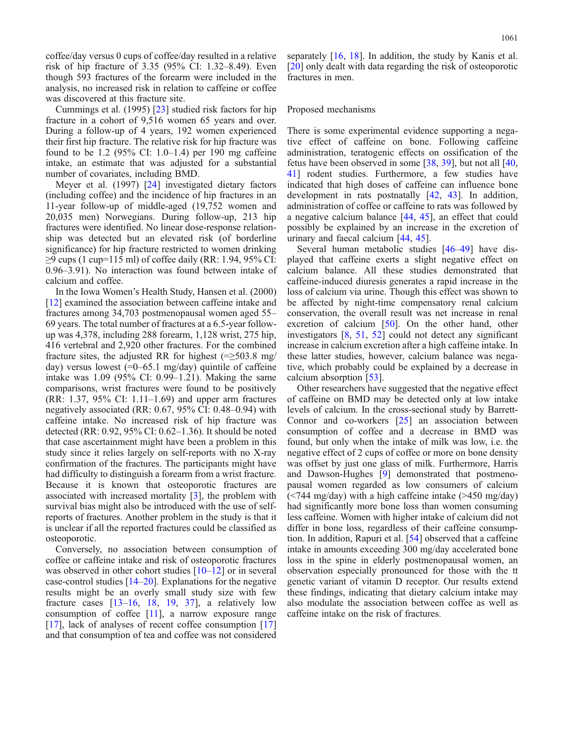coffee/day versus 0 cups of coffee/day resulted in a relative risk of hip fracture of 3.35 (95% CI: 1.32–8.49). Even though 593 fractures of the forearm were included in the analysis, no increased risk in relation to caffeine or coffee was discovered at this fracture site.

Cummings et al. (1995) [[23](#page-8-0)] studied risk factors for hip fracture in a cohort of 9,516 women 65 years and over. During a follow-up of 4 years, 192 women experienced their first hip fracture. The relative risk for hip fracture was found to be 1.2 (95% CI: 1.0–1.4) per 190 mg caffeine intake, an estimate that was adjusted for a substantial number of covariates, including BMD.

Meyer et al. (1997) [\[24\]](#page-8-0) investigated dietary factors (including coffee) and the incidence of hip fractures in an 11-year follow-up of middle-aged (19,752 women and 20,035 men) Norwegians. During follow-up, 213 hip fractures were identified. No linear dose-response relationship was detected but an elevated risk (of borderline significance) for hip fracture restricted to women drinking ≥9 cups (1 cup=115 ml) of coffee daily (RR: 1.94, 95% CI: 0.96–3.91). No interaction was found between intake of calcium and coffee.

In the Iowa Women's Health Study, Hansen et al. (2000) [[12](#page-8-0)] examined the association between caffeine intake and fractures among 34,703 postmenopausal women aged 55– 69 years. The total number of fractures at a 6.5-year followup was 4,378, including 288 forearm, 1,128 wrist, 275 hip, 416 vertebral and 2,920 other fractures. For the combined fracture sites, the adjusted RR for highest  $(=>503.8$  mg/ day) versus lowest  $(=0-65.1 \text{ mg/day})$  quintile of caffeine intake was 1.09 (95% CI: 0.99–1.21). Making the same comparisons, wrist fractures were found to be positively (RR: 1.37, 95% CI: 1.11–1.69) and upper arm fractures negatively associated (RR: 0.67, 95% CI: 0.48–0.94) with caffeine intake. No increased risk of hip fracture was detected (RR: 0.92, 95% CI: 0.62–1.36). It should be noted that case ascertainment might have been a problem in this study since it relies largely on self-reports with no X-ray confirmation of the fractures. The participants might have had difficulty to distinguish a forearm from a wrist fracture. Because it is known that osteoporotic fractures are associated with increased mortality [\[3](#page-7-0)], the problem with survival bias might also be introduced with the use of selfreports of fractures. Another problem in the study is that it is unclear if all the reported fractures could be classified as osteoporotic.

Conversely, no association between consumption of coffee or caffeine intake and risk of osteoporotic fractures was observed in other cohort studies  $[10-12]$  $[10-12]$  $[10-12]$  $[10-12]$  or in several case-control studies  $[14–20]$  $[14–20]$  $[14–20]$  $[14–20]$ . Explanations for the negative results might be an overly small study size with few fracture cases  $[13-16, 18, 19, 37]$  $[13-16, 18, 19, 37]$  $[13-16, 18, 19, 37]$  $[13-16, 18, 19, 37]$  $[13-16, 18, 19, 37]$  $[13-16, 18, 19, 37]$  $[13-16, 18, 19, 37]$  $[13-16, 18, 19, 37]$  $[13-16, 18, 19, 37]$ , a relatively low consumption of coffee [\[11\]](#page-8-0), a narrow exposure range [[17](#page-8-0)], lack of analyses of recent coffee consumption [\[17\]](#page-8-0) and that consumption of tea and coffee was not considered separately [\[16,](#page-8-0) [18](#page-8-0)]. In addition, the study by Kanis et al. [[20](#page-8-0)] only dealt with data regarding the risk of osteoporotic fractures in men.

# Proposed mechanisms

There is some experimental evidence supporting a negative effect of caffeine on bone. Following caffeine administration, teratogenic effects on ossification of the fetus have been observed in some [\[38,](#page-8-0) [39\]](#page-8-0), but not all [\[40](#page-8-0), [41\]](#page-8-0) rodent studies. Furthermore, a few studies have indicated that high doses of caffeine can influence bone development in rats postnatally [[42](#page-8-0), [43](#page-8-0)]. In addition, administration of coffee or caffeine to rats was followed by a negative calcium balance [\[44,](#page-8-0) [45\]](#page-8-0), an effect that could possibly be explained by an increase in the excretion of urinary and faecal calcium [[44](#page-8-0), [45\]](#page-8-0).

Several human metabolic studies [\[46](#page-8-0)–[49](#page-9-0)] have displayed that caffeine exerts a slight negative effect on calcium balance. All these studies demonstrated that caffeine-induced diuresis generates a rapid increase in the loss of calcium via urine. Though this effect was shown to be affected by night-time compensatory renal calcium conservation, the overall result was net increase in renal excretion of calcium [\[50\]](#page-9-0). On the other hand, other investigators [[8,](#page-8-0) [51](#page-9-0), [52](#page-9-0)] could not detect any significant increase in calcium excretion after a high caffeine intake. In these latter studies, however, calcium balance was negative, which probably could be explained by a decrease in calcium absorption [\[53\]](#page-9-0).

Other researchers have suggested that the negative effect of caffeine on BMD may be detected only at low intake levels of calcium. In the cross-sectional study by Barrett-Connor and co-workers [\[25\]](#page-8-0) an association between consumption of coffee and a decrease in BMD was found, but only when the intake of milk was low, i.e. the negative effect of 2 cups of coffee or more on bone density was offset by just one glass of milk. Furthermore, Harris and Dawson-Hughes [[9](#page-8-0)] demonstrated that postmenopausal women regarded as low consumers of calcium (<744 mg/day) with a high caffeine intake (>450 mg/day) had significantly more bone loss than women consuming less caffeine. Women with higher intake of calcium did not differ in bone loss, regardless of their caffeine consumption. In addition, Rapuri et al. [\[54\]](#page-9-0) observed that a caffeine intake in amounts exceeding 300 mg/day accelerated bone loss in the spine in elderly postmenopausal women, an observation especially pronounced for those with the tt genetic variant of vitamin D receptor. Our results extend these findings, indicating that dietary calcium intake may also modulate the association between coffee as well as caffeine intake on the risk of fractures.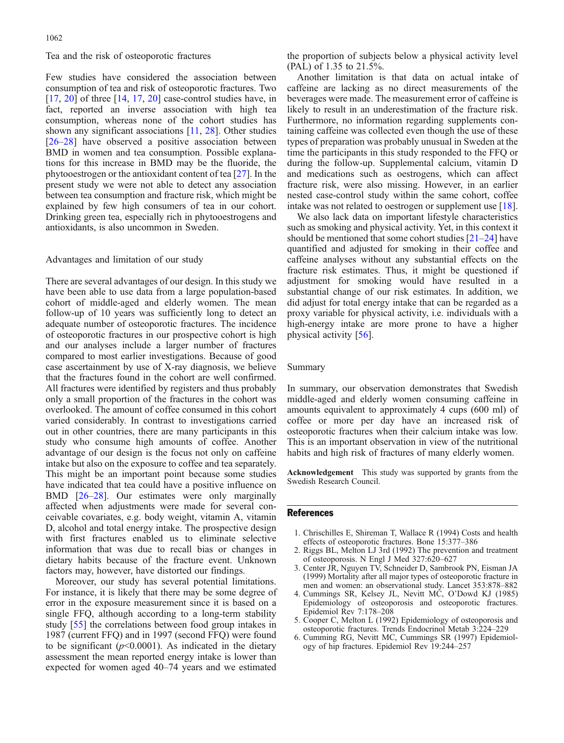#### <span id="page-7-0"></span>Tea and the risk of osteoporotic fractures

Few studies have considered the association between consumption of tea and risk of osteoporotic fractures. Two  $[17, 20]$  $[17, 20]$  $[17, 20]$  $[17, 20]$  $[17, 20]$  of three  $[14, 17, 20]$  $[14, 17, 20]$  $[14, 17, 20]$  $[14, 17, 20]$  case-control studies have, in fact, reported an inverse association with high tea consumption, whereas none of the cohort studies has shown any significant associations [[11,](#page-8-0) [28](#page-8-0)]. Other studies [[26](#page-8-0)–[28\]](#page-8-0) have observed a positive association between BMD in women and tea consumption. Possible explanations for this increase in BMD may be the fluoride, the phytooestrogen or the antioxidant content of tea [[27](#page-8-0)]. In the present study we were not able to detect any association between tea consumption and fracture risk, which might be explained by few high consumers of tea in our cohort. Drinking green tea, especially rich in phytooestrogens and antioxidants, is also uncommon in Sweden.

#### Advantages and limitation of our study

There are several advantages of our design. In this study we have been able to use data from a large population-based cohort of middle-aged and elderly women. The mean follow-up of 10 years was sufficiently long to detect an adequate number of osteoporotic fractures. The incidence of osteoporotic fractures in our prospective cohort is high and our analyses include a larger number of fractures compared to most earlier investigations. Because of good case ascertainment by use of X-ray diagnosis, we believe that the fractures found in the cohort are well confirmed. All fractures were identified by registers and thus probably only a small proportion of the fractures in the cohort was overlooked. The amount of coffee consumed in this cohort varied considerably. In contrast to investigations carried out in other countries, there are many participants in this study who consume high amounts of coffee. Another advantage of our design is the focus not only on caffeine intake but also on the exposure to coffee and tea separately. This might be an important point because some studies have indicated that tea could have a positive influence on BMD [\[26](#page-8-0)–[28](#page-8-0)]. Our estimates were only marginally affected when adjustments were made for several conceivable covariates, e.g. body weight, vitamin A, vitamin D, alcohol and total energy intake. The prospective design with first fractures enabled us to eliminate selective information that was due to recall bias or changes in dietary habits because of the fracture event. Unknown factors may, however, have distorted our findings.

Moreover, our study has several potential limitations. For instance, it is likely that there may be some degree of error in the exposure measurement since it is based on a single FFQ, although according to a long-term stability study [[55\]](#page-9-0) the correlations between food group intakes in 1987 (current FFQ) and in 1997 (second FFQ) were found to be significant ( $p<0.0001$ ). As indicated in the dietary assessment the mean reported energy intake is lower than expected for women aged 40–74 years and we estimated the proportion of subjects below a physical activity level (PAL) of 1.35 to 21.5%.

Another limitation is that data on actual intake of caffeine are lacking as no direct measurements of the beverages were made. The measurement error of caffeine is likely to result in an underestimation of the fracture risk. Furthermore, no information regarding supplements containing caffeine was collected even though the use of these types of preparation was probably unusual in Sweden at the time the participants in this study responded to the FFQ or during the follow-up. Supplemental calcium, vitamin D and medications such as oestrogens, which can affect fracture risk, were also missing. However, in an earlier nested case-control study within the same cohort, coffee intake was not related to oestrogen or supplement use [[18](#page-8-0)].

We also lack data on important lifestyle characteristics such as smoking and physical activity. Yet, in this context it should be mentioned that some cohort studies [[21](#page-8-0)–[24\]](#page-8-0) have quantified and adjusted for smoking in their coffee and caffeine analyses without any substantial effects on the fracture risk estimates. Thus, it might be questioned if adjustment for smoking would have resulted in a substantial change of our risk estimates. In addition, we did adjust for total energy intake that can be regarded as a proxy variable for physical activity, i.e. individuals with a high-energy intake are more prone to have a higher physical activity [\[56\]](#page-9-0).

#### Summary

In summary, our observation demonstrates that Swedish middle-aged and elderly women consuming caffeine in amounts equivalent to approximately 4 cups (600 ml) of coffee or more per day have an increased risk of osteoporotic fractures when their calcium intake was low. This is an important observation in view of the nutritional habits and high risk of fractures of many elderly women.

Acknowledgement This study was supported by grants from the Swedish Research Council.

#### References

- 1. Chrischilles E, Shireman T, Wallace R (1994) Costs and health effects of osteoporotic fractures. Bone 15:377–386
- 2. Riggs BL, Melton LJ 3rd (1992) The prevention and treatment of osteoporosis. N Engl J Med 327:620–627
- 3. Center JR, Nguyen TV, Schneider D, Sambrook PN, Eisman JA (1999) Mortality after all major types of osteoporotic fracture in men and women: an observational study. Lancet 353:878–882
- 4. Cummings SR, Kelsey JL, Nevitt MC, O'Dowd KJ (1985) Epidemiology of osteoporosis and osteoporotic fractures. Epidemiol Rev 7:178–208
- 5. Cooper C, Melton L (1992) Epidemiology of osteoporosis and osteoporotic fractures. Trends Endocrinol Metab 3:224–229
- 6. Cumming RG, Nevitt MC, Cummings SR (1997) Epidemiology of hip fractures. Epidemiol Rev 19:244–257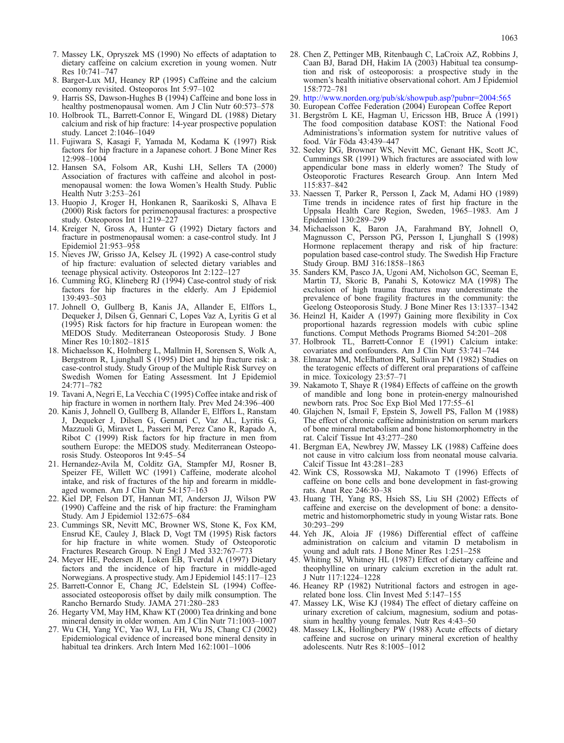- <span id="page-8-0"></span>7. Massey LK, Opryszek MS (1990) No effects of adaptation to dietary caffeine on calcium excretion in young women. Nutr Res 10:741–747
- 8. Barger-Lux MJ, Heaney RP (1995) Caffeine and the calcium economy revisited. Osteoporos Int 5:97–102
- 9. Harris SS, Dawson-Hughes B (1994) Caffeine and bone loss in healthy postmenopausal women. Am J Clin Nutr 60:573–578
- 10. Holbrook TL, Barrett-Connor E, Wingard DL (1988) Dietary calcium and risk of hip fracture: 14-year prospective population study. Lancet 2:1046–1049
- 11. Fujiwara S, Kasagi F, Yamada M, Kodama K (1997) Risk factors for hip fracture in a Japanese cohort. J Bone Miner Res 12:998–1004
- 12. Hansen SA, Folsom AR, Kushi LH, Sellers TA (2000) Association of fractures with caffeine and alcohol in postmenopausal women: the Iowa Women's Health Study. Public Health Nutr 3:253–261
- 13. Huopio J, Kroger H, Honkanen R, Saarikoski S, Alhava E (2000) Risk factors for perimenopausal fractures: a prospective study. Osteoporos Int 11:219–227
- 14. Kreiger N, Gross A, Hunter G (1992) Dietary factors and fracture in postmenopausal women: a case-control study. Int J Epidemiol 21:953–958
- 15. Nieves JW, Grisso JA, Kelsey JL (1992) A case-control study of hip fracture: evaluation of selected dietary variables and teenage physical activity. Osteoporos Int 2:122–127
- 16. Cumming RG, Klineberg RJ (1994) Case-control study of risk factors for hip fractures in the elderly. Am J Epidemiol 139:493–503
- 17. Johnell O, Gullberg B, Kanis JA, Allander E, Elffors L, Dequeker J, Dilsen G, Gennari C, Lopes Vaz A, Lyritis G et al (1995) Risk factors for hip fracture in European women: the MEDOS Study. Mediterranean Osteoporosis Study. J Bone Miner Res 10:1802–1815
- 18. Michaelsson K, Holmberg L, Mallmin H, Sorensen S, Wolk A, Bergstrom R, Ljunghall S (1995) Diet and hip fracture risk: a case-control study. Study Group of the Multiple Risk Survey on Swedish Women for Eating Assessment. Int J Epidemiol 24:771–782
- 19. Tavani A, Negri E, La Vecchia C (1995) Coffee intake and risk of hip fracture in women in northern Italy. Prev Med 24:396–400
- 20. Kanis J, Johnell O, Gullberg B, Allander E, Elffors L, Ranstam J, Dequeker J, Dilsen G, Gennari C, Vaz AL, Lyritis G, Mazzuoli G, Miravet L, Passeri M, Perez Cano R, Rapado A, Ribot C (1999) Risk factors for hip fracture in men from southern Europe: the MEDOS study. Mediterranean Osteoporosis Study. Osteoporos Int 9:45–54
- 21. Hernandez-Avila M, Colditz GA, Stampfer MJ, Rosner B, Speizer FE, Willett WC (1991) Caffeine, moderate alcohol intake, and risk of fractures of the hip and forearm in middleaged women. Am J Clin Nutr 54:157–163
- 22. Kiel DP, Felson DT, Hannan MT, Anderson JJ, Wilson PW (1990) Caffeine and the risk of hip fracture: the Framingham Study. Am J Epidemiol 132:675–684
- 23. Cummings SR, Nevitt MC, Browner WS, Stone K, Fox KM, Ensrud KE, Cauley J, Black D, Vogt TM (1995) Risk factors for hip fracture in white women. Study of Osteoporotic Fractures Research Group. N Engl J Med 332:767–773
- 24. Meyer HE, Pedersen JI, Loken EB, Tverdal A (1997) Dietary factors and the incidence of hip fracture in middle-aged Norwegians. A prospective study. Am J Epidemiol 145:117–123
- 25. Barrett-Connor E, Chang JC, Edelstein SL (1994) Coffeeassociated osteoporosis offset by daily milk consumption. The Rancho Bernardo Study. JAMA 271:280–283
- 26. Hegarty VM, May HM, Khaw KT (2000) Tea drinking and bone mineral density in older women. Am J Clin Nutr 71:1003–1007
- 27. Wu CH, Yang YC, Yao WJ, Lu FH, Wu JS, Chang CJ (2002) Epidemiological evidence of increased bone mineral density in habitual tea drinkers. Arch Intern Med 162:1001–1006
- 28. Chen Z, Pettinger MB, Ritenbaugh C, LaCroix AZ, Robbins J, Caan BJ, Barad DH, Hakim IA (2003) Habitual tea consumption and risk of osteoporosis: a prospective study in the women's health initiative observational cohort. Am J Epidemiol 158:772–781
- 29. <http://www.norden.org/pub/sk/showpub.asp?pubnr=2004:565>
- 30. European Coffee Federation (2004) European Coffee Report
- 31. Bergström L KE, Hagman U, Ericsson HB, Bruce Å (1991) The food composition database KOST: the National Food Administrations's information system for nutritive values of food. Vår Föda 43:439–447
- 32. Seeley DG, Browner WS, Nevitt MC, Genant HK, Scott JC, Cummings SR (1991) Which fractures are associated with low appendicular bone mass in elderly women? The Study of Osteoporotic Fractures Research Group. Ann Intern Med 115:837–842
- 33. Naessen T, Parker R, Persson I, Zack M, Adami HO (1989) Time trends in incidence rates of first hip fracture in the Uppsala Health Care Region, Sweden, 1965–1983. Am J Epidemiol 130:289–299
- 34. Michaelsson K, Baron JA, Farahmand BY, Johnell O, Magnusson C, Persson PG, Persson I, Ljunghall S (1998) Hormone replacement therapy and risk of hip fracture: population based case-control study. The Swedish Hip Fracture Study Group. BMJ 316:1858–1863
- 35. Sanders KM, Pasco JA, Ugoni AM, Nicholson GC, Seeman E, Martin TJ, Skoric B, Panahi S, Kotowicz MA (1998) The exclusion of high trauma fractures may underestimate the prevalence of bone fragility fractures in the community: the Geelong Osteoporosis Study. J Bone Miner Res 13:1337–1342
- 36. Heinzl H, Kaider A (1997) Gaining more flexibility in Cox proportional hazards regression models with cubic spline functions. Comput Methods Programs Biomed 54:201–208
- 37. Holbrook TL, Barrett-Connor E (1991) Calcium intake: covariates and confounders. Am J Clin Nutr 53:741–744
- 38. Elmazar MM, McElhatton PR, Sullivan FM (1982) Studies on the teratogenic effects of different oral preparations of caffeine in mice. Toxicology 23:57–71
- 39. Nakamoto T, Shaye R (1984) Effects of caffeine on the growth of mandible and long bone in protein-energy malnourished newborn rats. Proc Soc Exp Biol Med 177:55–61
- 40. Glajchen N, Ismail F, Epstein S, Jowell PS, Fallon M (1988) The effect of chronic caffeine administration on serum markers of bone mineral metabolism and bone histomorphometry in the rat. Calcif Tissue Int 43:277–280
- 41. Bergman EA, Newbrey JW, Massey LK (1988) Caffeine does not cause in vitro calcium loss from neonatal mouse calvaria. Calcif Tissue Int 43:281–283
- 42. Wink CS, Rossowska MJ, Nakamoto T (1996) Effects of caffeine on bone cells and bone development in fast-growing rats. Anat Rec 246:30–38
- 43. Huang TH, Yang RS, Hsieh SS, Liu SH (2002) Effects of caffeine and exercise on the development of bone: a densitometric and histomorphometric study in young Wistar rats. Bone 30:293–299
- 44. Yeh JK, Aloia JF (1986) Differential effect of caffeine administration on calcium and vitamin D metabolism in young and adult rats. J Bone Miner Res 1:251–258
- 45. Whiting SJ, Whitney HL (1987) Effect of dietary caffeine and theophylline on urinary calcium excretion in the adult rat. J Nutr 117:1224–1228
- 46. Heaney RP (1982) Nutritional factors and estrogen in agerelated bone loss. Clin Invest Med 5:147–155
- 47. Massey LK, Wise KJ (1984) The effect of dietary caffeine on urinary excretion of calcium, magnesium, sodium and potassium in healthy young females. Nutr Res 4:43–50
- 48. Massey LK, Hollingbery PW (1988) Acute effects of dietary caffeine and sucrose on urinary mineral excretion of healthy adolescents. Nutr Res 8:1005–1012